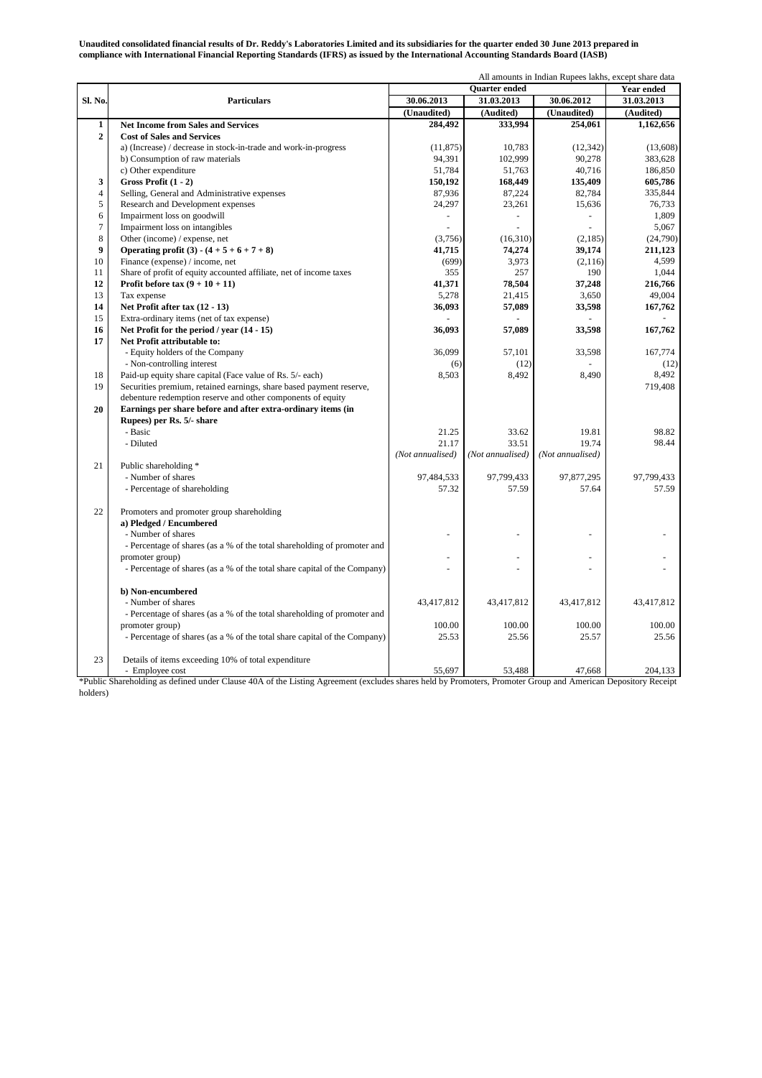**Unaudited consolidated financial results of Dr. Reddy's Laboratories Limited and its subsidiaries for the quarter ended 30 June 2013 prepared in compliance with International Financial Reporting Standards (IFRS) as issued by the International Accounting Standards Board (IASB)**

|                  |                                                                           | All amounts in Indian Rupees lakhs, except share data |                  |                  |            |
|------------------|---------------------------------------------------------------------------|-------------------------------------------------------|------------------|------------------|------------|
|                  | <b>Particulars</b>                                                        | <b>Ouarter</b> ended                                  |                  |                  | Year ended |
| Sl. No.          |                                                                           | 30.06.2013                                            | 31.03.2013       | 30.06.2012       | 31.03.2013 |
|                  |                                                                           | (Unaudited)                                           | (Audited)        | (Unaudited)      | (Audited)  |
| $\mathbf{1}$     | <b>Net Income from Sales and Services</b>                                 | 284,492                                               | 333,994          | 254,061          | 1,162,656  |
| $\overline{2}$   | <b>Cost of Sales and Services</b>                                         |                                                       |                  |                  |            |
|                  | a) (Increase) / decrease in stock-in-trade and work-in-progress           | (11, 875)                                             | 10,783           | (12, 342)        | (13,608)   |
|                  | b) Consumption of raw materials                                           | 94,391                                                | 102,999          | 90,278           | 383,628    |
|                  | c) Other expenditure                                                      | 51,784                                                | 51,763           | 40,716           | 186,850    |
| 3                | Gross Profit $(1 - 2)$                                                    | 150,192                                               | 168,449          | 135,409          | 605,786    |
| $\overline{4}$   | Selling, General and Administrative expenses                              | 87,936                                                | 87,224           | 82,784           | 335,844    |
| 5                | Research and Development expenses                                         | 24,297                                                | 23,261           | 15,636           | 76,733     |
| 6                | Impairment loss on goodwill                                               |                                                       | ÷,               | ÷,               | 1,809      |
| $\overline{7}$   | Impairment loss on intangibles                                            |                                                       |                  |                  | 5,067      |
| 8                | Other (income) / expense, net                                             | (3,756)                                               | (16,310)         | (2,185)          | (24,790)   |
| $\boldsymbol{9}$ | Operating profit (3) - $(4 + 5 + 6 + 7 + 8)$                              | 41,715                                                | 74,274           | 39,174           | 211,123    |
| 10               | Finance (expense) / income, net                                           | (699)                                                 | 3,973            | (2,116)          | 4,599      |
| 11               | Share of profit of equity accounted affiliate, net of income taxes        | 355                                                   | 257              | 190              | 1,044      |
| 12               | Profit before tax $(9 + 10 + 11)$                                         | 41,371                                                | 78,504           | 37,248           | 216,766    |
| 13               | Tax expense                                                               | 5,278                                                 | 21,415           | 3,650            | 49,004     |
| 14               | Net Profit after tax (12 - 13)                                            | 36,093                                                | 57,089           | 33,598           | 167,762    |
| 15               | Extra-ordinary items (net of tax expense)                                 |                                                       |                  |                  |            |
| 16               | Net Profit for the period / year $(14 - 15)$                              | 36,093                                                | 57,089           | 33,598           | 167,762    |
| 17               | Net Profit attributable to:                                               |                                                       |                  |                  |            |
|                  | - Equity holders of the Company                                           | 36.099                                                | 57,101           | 33,598           | 167,774    |
|                  | - Non-controlling interest                                                | (6)                                                   | (12)             |                  | (12)       |
| 18               | Paid-up equity share capital (Face value of Rs. 5/- each)                 | 8,503                                                 | 8,492            | 8,490            | 8,492      |
| 19               | Securities premium, retained earnings, share based payment reserve,       |                                                       |                  |                  | 719,408    |
|                  | debenture redemption reserve and other components of equity               |                                                       |                  |                  |            |
| 20               | Earnings per share before and after extra-ordinary items (in              |                                                       |                  |                  |            |
|                  | Rupees) per Rs. 5/- share                                                 |                                                       |                  |                  |            |
|                  | - Basic                                                                   | 21.25                                                 | 33.62            | 19.81            | 98.82      |
|                  | - Diluted                                                                 | 21.17                                                 | 33.51            | 19.74            | 98.44      |
|                  |                                                                           | (Not annualised)                                      | (Not annualised) | (Not annualised) |            |
| 21               | Public shareholding *                                                     |                                                       |                  |                  |            |
|                  | - Number of shares                                                        | 97,484,533                                            | 97,799,433       | 97,877,295       | 97,799,433 |
|                  | - Percentage of shareholding                                              | 57.32                                                 | 57.59            | 57.64            | 57.59      |
|                  |                                                                           |                                                       |                  |                  |            |
| 22               | Promoters and promoter group shareholding                                 |                                                       |                  |                  |            |
|                  | a) Pledged / Encumbered                                                   |                                                       |                  |                  |            |
|                  | - Number of shares                                                        | ÷,                                                    |                  |                  |            |
|                  | - Percentage of shares (as a % of the total shareholding of promoter and  |                                                       |                  |                  |            |
|                  | promoter group)                                                           |                                                       |                  |                  |            |
|                  | - Percentage of shares (as a % of the total share capital of the Company) |                                                       |                  |                  |            |
|                  |                                                                           |                                                       |                  |                  |            |
|                  | b) Non-encumbered                                                         |                                                       |                  |                  |            |
|                  | - Number of shares                                                        | 43,417,812                                            | 43,417,812       | 43,417,812       | 43,417,812 |
|                  | - Percentage of shares (as a % of the total shareholding of promoter and  |                                                       |                  |                  |            |
|                  | promoter group)                                                           | 100.00                                                | 100.00           | 100.00           | 100.00     |
|                  | - Percentage of shares (as a % of the total share capital of the Company) | 25.53                                                 | 25.56            | 25.57            | 25.56      |
|                  |                                                                           |                                                       |                  |                  |            |
| 23               | Details of items exceeding 10% of total expenditure                       |                                                       |                  |                  |            |
|                  | - Employee cost                                                           | 55.697                                                | 53,488           | 47.668           | 204.133    |
|                  |                                                                           |                                                       |                  |                  |            |

\*Public Shareholding as defined under Clause 40A of the Listing Agreement (excludes shares held by Promoters, Promoter Group and American Depository Receipt holders)